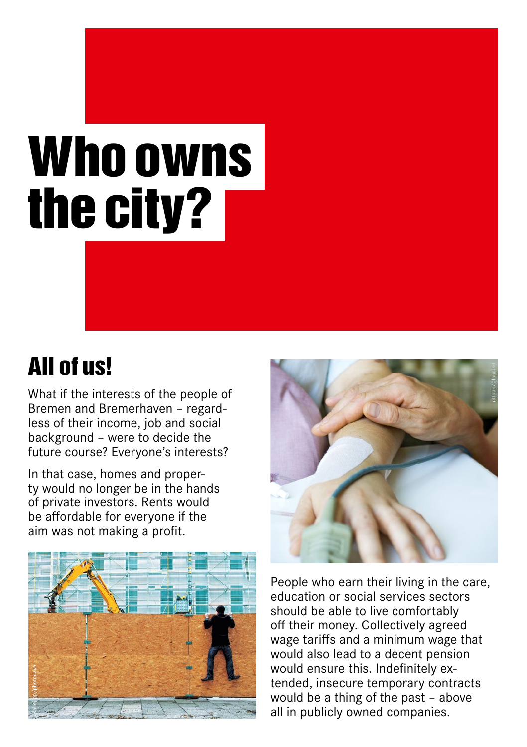## Who owns the city?

## All of us!

What if the interests of the people of Bremen and Bremerhaven – regardless of their income, job and social background – were to decide the future course? Everyone's interests?

In that case, homes and property would no longer be in the hands of private investors. Rents would be affordable for everyone if the aim was not making a profit.





People who earn their living in the care, education or social services sectors should be able to live comfortably off their money. Collectively agreed wage tariffs and a minimum wage that would also lead to a decent pension would ensure this. Indefinitely extended, insecure temporary contracts would be a thing of the past – above all in publicly owned companies.